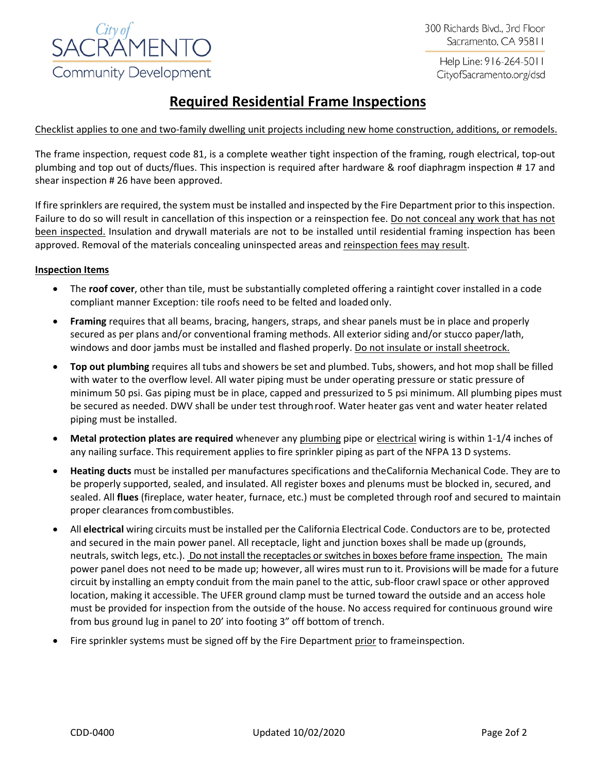

300 Richards Blvd., 3rd Floor Sacramento, CA 95811

> Help Line: 916-264-5011 CityofSacramento.org/dsd

# **Required Residential Frame Inspections**

## Checklist applies to one and two-family dwelling unit projects including new home construction, additions, or remodels.

The frame inspection, request code 81, is a complete weather tight inspection of the framing, rough electrical, top-out plumbing and top out of ducts/flues. This inspection is required after hardware & roof diaphragm inspection # 17 and shear inspection # 26 have been approved.

If fire sprinklers are required, the system must be installed and inspected by the Fire Department prior to this inspection. Failure to do so will result in cancellation of this inspection or a reinspection fee. Do not conceal any work that has not been inspected. Insulation and drywall materials are not to be installed until residential framing inspection has been approved. Removal of the materials concealing uninspected areas and reinspection fees may result.

## **Inspection Items**

- The **roof cover**, other than tile, must be substantially completed offering a raintight cover installed in a code compliant manner Exception: tile roofs need to be felted and loaded only.
- **Framing** requires that all beams, bracing, hangers, straps, and shear panels must be in place and properly secured as per plans and/or conventional framing methods. All exterior siding and/or stucco paper/lath, windows and door jambs must be installed and flashed properly. Do not insulate or install sheetrock.
- **Top out plumbing** requires all tubs and showers be set and plumbed. Tubs, showers, and hot mop shall be filled with water to the overflow level. All water piping must be under operating pressure or static pressure of minimum 50 psi. Gas piping must be in place, capped and pressurized to 5 psi minimum. All plumbing pipes must be secured as needed. DWV shall be under test throughroof. Water heater gas vent and water heater related piping must be installed.
- **Metal protection plates are required** whenever any plumbing pipe or electrical wiring is within 1-1/4 inches of any nailing surface. This requirement applies to fire sprinkler piping as part of the NFPA 13 D systems.
- **Heating ducts** must be installed per manufactures specifications and theCalifornia Mechanical Code. They are to be properly supported, sealed, and insulated. All register boxes and plenums must be blocked in, secured, and sealed. All **flues** (fireplace, water heater, furnace, etc.) must be completed through roof and secured to maintain proper clearances fromcombustibles.
- All **electrical** wiring circuits must be installed per the California Electrical Code. Conductors are to be, protected and secured in the main power panel. All receptacle, light and junction boxes shall be made up (grounds, neutrals, switch legs, etc.). Do not install the receptacles or switches in boxes before frame inspection. The main power panel does not need to be made up; however, all wires must run to it. Provisions will be made for a future circuit by installing an empty conduit from the main panel to the attic, sub-floor crawl space or other approved location, making it accessible. The UFER ground clamp must be turned toward the outside and an access hole must be provided for inspection from the outside of the house. No access required for continuous ground wire from bus ground lug in panel to 20' into footing 3" off bottom of trench.
- Fire sprinkler systems must be signed off by the Fire Department prior to frameinspection.